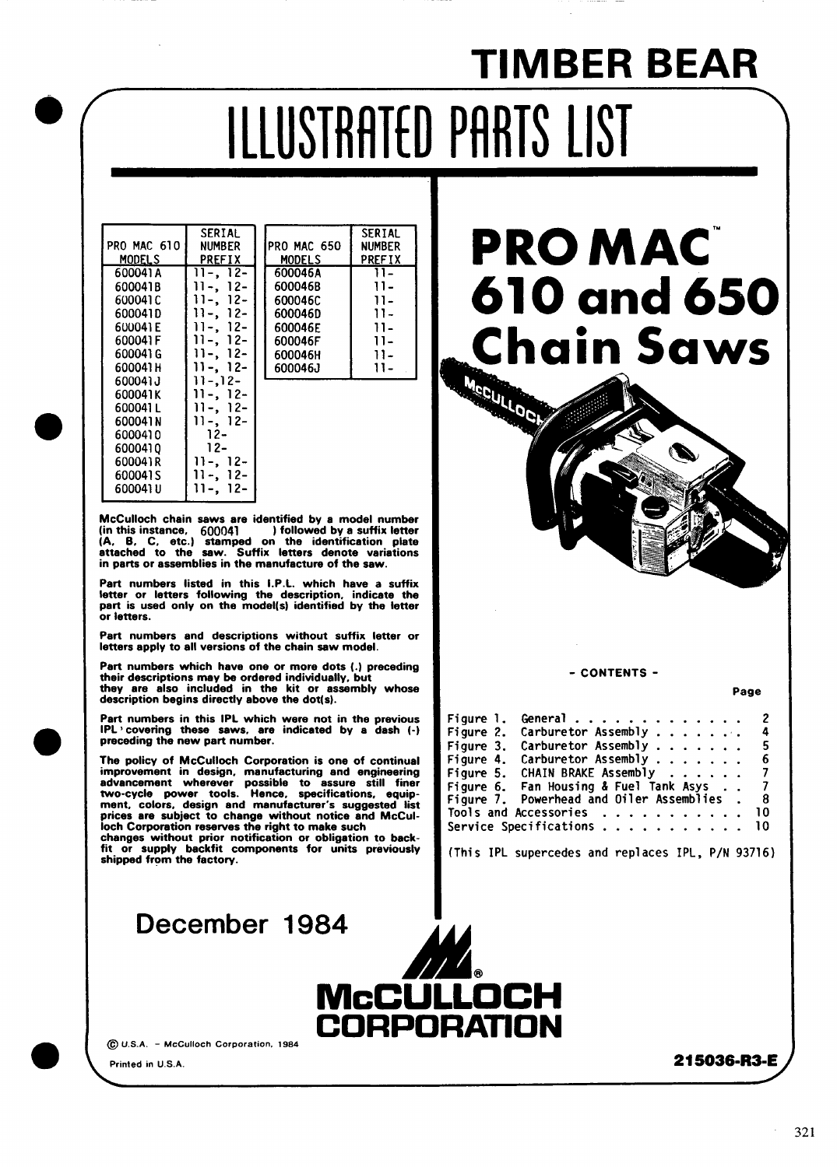# **TIMBER BEAR** ILLUSTRATED PARTS LIST

|               | <b>SERTAL</b>     |               | <b>SERTAI</b> |
|---------------|-------------------|---------------|---------------|
| PRO MAC 610   | <b>NUMBER</b>     | PRO MAC 650   | <b>NUMBER</b> |
| <b>MODELS</b> | <b>PREFIX</b>     | <b>MODELS</b> | <b>PREFIX</b> |
| 600041A       | 11-. 12-          | 600046A       | 11-           |
| 600041B       | $12-$<br>$11 - 1$ | 600046B       | 11-           |
| 600041 C      | $12-$<br>11-. .   | 6000460       | 11-           |
| 600041D       | 11-. 12-          | 600046D       | 11-           |
| 600041 E      | $12-$<br>11-.     | 600046E       | 11-           |
| 600041 F      | $12-$             | 600046F       | 11-           |
| 600041 G      | $12-$<br>$11 - 1$ | 600046H       | 11-           |
| 600041 H      | 11-. 12-          | 600046J       | 11-           |
| 600041J       | 11-.12-           |               |               |
| 600041K       | 11-. 12-          |               |               |
| 600041 L      | 11-. 12-          |               |               |
| 600041 N      | 11-. 12-          |               |               |
| 6000410       | 12-               |               |               |
| 6000410       | 12-               |               |               |
| 600041R       | 11-. 12-          |               |               |
| 600041 S      | 12-               |               |               |
| 600041 บ      | 12-               |               |               |

McCulloch chain saws are identified by a model number<br>(in this instance,  $600041$ ) followed by a suffix letter (in this instance, 600041) billowed by a suffix letter<br>(A, B, C, etc.) stamped on the identification plate<br>attached to the saw. Suffix letters denote variations in parts or assemblies in the manufacture of the saw.

Part numbers listed in this I.P.L. which have a suffix letter or letters following the description, indicate the part is used only on the model(s) identified by the letter or letters.

Part numbers and descriptions without suffix letter or letters apply to all versions of the chain saw model.

Part numbers which have one or more dots (.) preceding their descriptions may be ordered individually, but<br>their descriptions may be ordered individually, but<br>they are also included in the kit or assembly whose description begins directly above the dot(s).

Part numbers in this IPL which were not in the previous  $IPL$  covering these saws, are indicated by a dash  $(-)$  preceding the new part number.

The policy of McCulloch Corporation is one of continual improvement in design, manufacturing and engineering<br>advancement wherever possible to assure still finer<br>two-cycle power tools. Hence, specifications, equip-<br>ment, colors, design and manufacturer's suggested list prices are subject to change without notice and McCulloch Corporation reserves the right to make such

changes without prior notification or obligation to backfit or supply backfit components for units previously shipped from the factory.

December 1984

McCUL



#### - CONTENTS -

Page

| Figure 1. | General                                   | $\mathbf{2}$   |
|-----------|-------------------------------------------|----------------|
| Figure 2. | Carburetor Assembly                       | $\frac{4}{ }$  |
| Figure 3. | Carburetor Assembly $\ldots$              | - 5            |
| Figure 4. | Carburetor Assembly                       | - 6            |
| Figure 5. | CHAIN BRAKE Assembly                      | $\overline{z}$ |
|           | Figure 6. Fan Housing & Fuel Tank Asys    | $\overline{7}$ |
|           | Figure 7. Powerhead and Oiler Assemblies. | - 8            |
|           | Tools and Accessories                     | - 10           |
|           | Service Specifications                    | -10            |

(This IPL supercedes and replaces IPL, P/N 93716)

 $\bigcirc$ 0.u.s. $A.$  - McCulloch Corporation. 1984  $\bigcirc$  CORPORATIO

Printed in U.S.A. **215036-R3-E**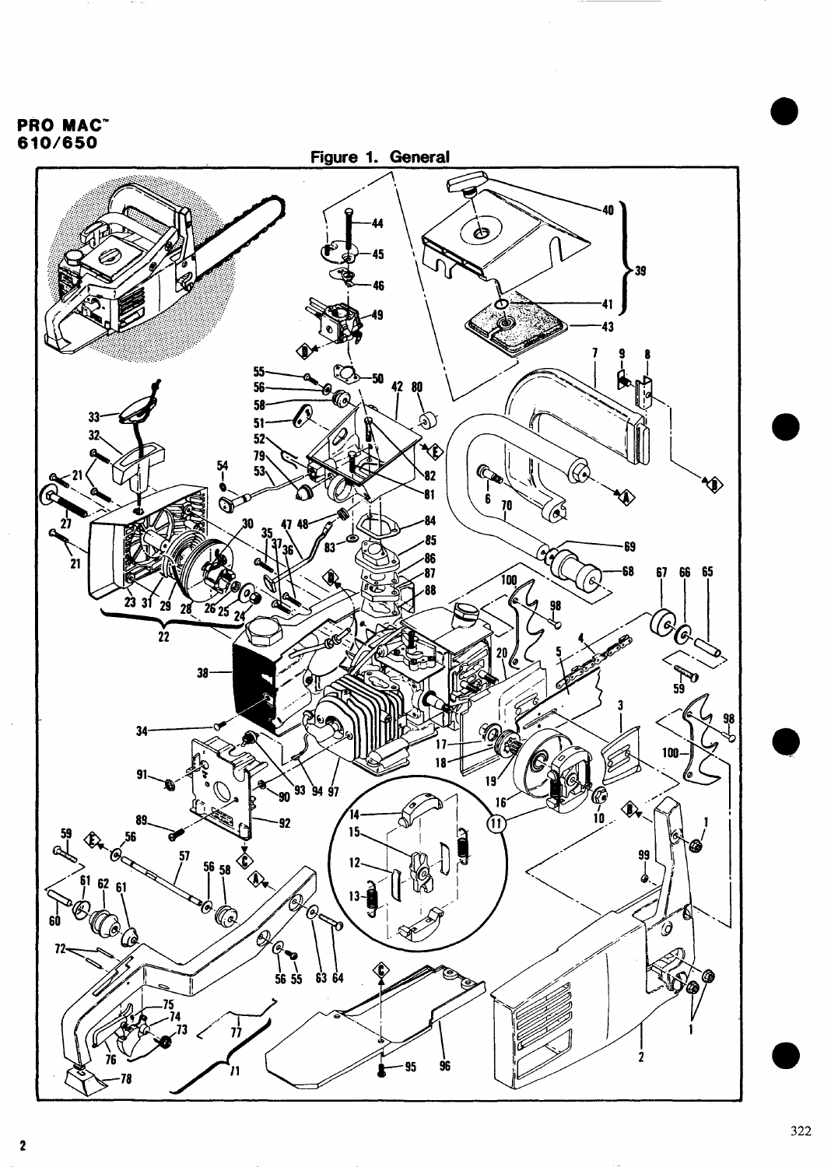<span id="page-1-0"></span>**PRO MAC<sup>\*</sup>**<br>610/650

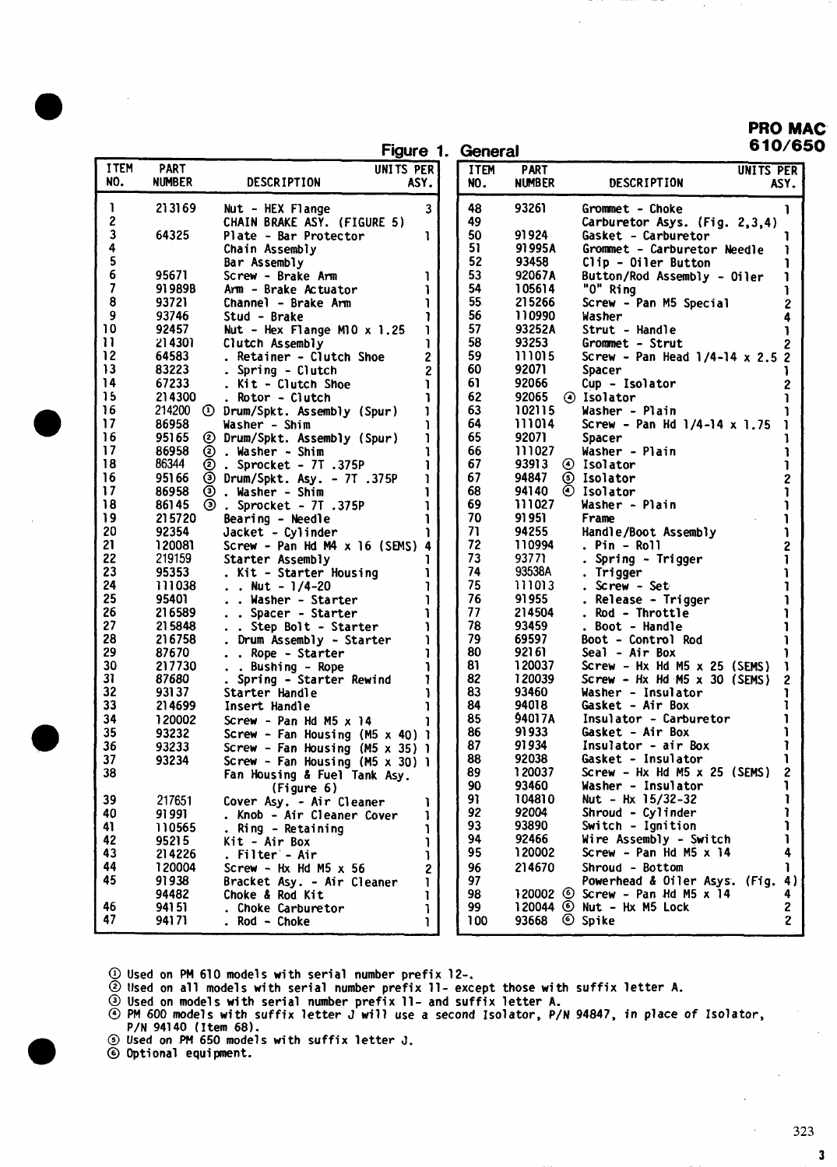PRO MAC  $\epsilon$ al 610/650

| Figure 1. | Genera |
|-----------|--------|
|           |        |

|                                         |                       | Figure 1.                                                                                               |                         | Gen               |
|-----------------------------------------|-----------------------|---------------------------------------------------------------------------------------------------------|-------------------------|-------------------|
| ITEM<br>NO.                             | <b>PART</b><br>NUMBER | UNITS PER<br>DESCRIPTION<br>ASY.                                                                        |                         | <b>ITE</b><br>NO. |
| <sup>1</sup><br>$\overline{\mathbf{c}}$ | 213169                | Nut - HEX Flange<br>CHAIN BRAKE ASY. (FIGURE 5)                                                         | 3                       | 48<br>49          |
| 3                                       | 64325                 | Plate - Bar Protector                                                                                   | ı                       | 50                |
| 4<br>5                                  |                       | Chain Assembly<br>Bar Assembly                                                                          |                         | 51<br>52          |
| 6                                       | 95671                 | Screw - Brake Arm                                                                                       | 1                       | 53                |
| $\overline{\mathbf{z}}$                 | 91989B                | Arm - Brake Actuator                                                                                    | <sup>1</sup>            | 54                |
| 8                                       | 93721                 | Channel - Brake Arm                                                                                     | ī                       | 55.               |
| 9<br>10                                 | 93746<br>92457        | Stud - Brake<br>Nut - Hex Flange M10 $\times$ 1.25                                                      | ī<br>J                  | 56<br>57          |
| 11                                      | 214301                | Clutch Assembly                                                                                         | <sup>1</sup>            | 58                |
| 12                                      | 64583                 | Retainer - Clutch Shoe<br>$\ddot{\phantom{a}}$                                                          | $\overline{\mathbf{c}}$ | 59                |
| 13                                      | 83223                 | . Spring - Clutch                                                                                       | $\overline{c}$          | 60                |
| 14<br>15                                | 67233<br>214300       | . Kit - Clutch Shoe<br>Rotor - Clutch                                                                   | ĭ<br>ı                  | 61<br>62          |
| 16                                      | 214200                | 1 Drum/Spkt. Assembly (Spur)                                                                            | J                       | 63                |
| 17                                      | 86958                 | Washer - Shim                                                                                           | ĭ                       | 64                |
| 16<br>17                                | 95165                 | ℗<br>Drum/Spkt. Assembly (Spur)                                                                         | ī                       | 65                |
| 18                                      | 86958<br>86344        | Õ<br>. Washer - Shim<br>Sprocket - 7T.375P<br>$\sim$                                                    | 1<br>ì                  | 66<br>67          |
| 16                                      | 951 66                | ම<br>ම<br>Drum/Spkt. Asy. - 7T .375P                                                                    | ı                       | 67                |
| 17                                      | 86958                 | ම<br>ම<br>. Washer - Shim                                                                               | 1                       | 68                |
| 18<br>19                                | 86145<br>215720       | Sprocket - 7T .375P<br>Bearing - Needle                                                                 | ı<br>Ĩ                  | 69<br>70          |
| 20                                      | 92354                 | Jacket - Cylinder                                                                                       | ı                       | 71                |
| 21                                      | 120081                | Screw - Pan Hd M4 x 16 (SEMS) 4                                                                         |                         | 72                |
| 22                                      | 219159                | Starter Assembly                                                                                        | 1                       | 73                |
| 23<br>24                                | 95353<br>111038       | Kit - Starter Housing<br>$\ddot{\phantom{0}}$<br>Nut - $1/4-20$<br>$\mathbf{r}$<br>$\ddot{\phantom{0}}$ | 1<br>Ĩ.                 | 74<br>75          |
| 25                                      | 95401                 | Washer - Starter<br>$\ddot{\phantom{a}}$                                                                | ĭ                       | 76                |
| 26                                      | 216589                | . Spacer - Starter<br>$\ddot{\phantom{0}}$                                                              | 1                       | 77                |
| 27<br>28                                | 215848<br>216758      | Step Bolt - Starter<br>$\ddot{\phantom{0}}$                                                             | Ŧ<br>ĩ                  | 78<br>79          |
| 29                                      | 87670                 | . Drum Assembly - Starter<br>Rope - Starter<br>$\ddot{\phantom{0}}$<br>$\ddot{\phantom{0}}$             | ı                       | 80                |
| 30                                      | 217730                | Bushing - Rope<br>$\ddot{\phantom{a}}$                                                                  | ĭ                       | 81                |
| 31                                      | 87680                 | Spring - Starter Rewind                                                                                 | 1                       | 82                |
| 32<br>33                                | 93137<br>214699       | Starter Handle<br>Insert Handle                                                                         | ľ<br>ı                  | 83<br>84          |
| 34                                      | 120002                | Screw - Pan Hd M5 $\times$ 14                                                                           | 1                       | 85                |
| 35                                      | 93232                 | Screw - Fan Housing (M5 $\times$ 40) 1                                                                  |                         | 86                |
| 36<br>37                                | 93233                 | Screw - Fan Housing<br>$(M5 \times 35)$ 1                                                               |                         | 87<br>88          |
| კგ                                      | 93234                 | Screw - Fan Housing (M5 $x$ 30)<br>Fan Housing & Fuel Tank Asy.                                         | <sup>1</sup>            | 89                |
|                                         |                       | (Figure 6)                                                                                              |                         | 90                |
| 39                                      | 217651                | Cover Asy. - Air Cleaner                                                                                | ı                       | 91                |
| 40<br>41                                | 91991<br>110565       | Knob - Air Cleaner Cover<br>Ring - Retaining                                                            | 1<br>ı                  | 92<br>93          |
| 42                                      | 95215                 | Kit - Air Box                                                                                           | <sup>1</sup>            | 94                |
| 43                                      | 214226                | Filter - Air                                                                                            | 1                       | 95                |
| 44<br>45                                | 120004<br>91938       | Screw - Hx Hd M5 $\times$ 56                                                                            | $\overline{c}$          | 96<br>97          |
|                                         | 94482                 | Bracket Asy. - Air Cleaner<br>Choke & Rod Kit                                                           | T<br>ı                  | 98                |
| 46                                      | 94151                 | Choke Carburetor                                                                                        | 1                       | 99                |
| 47                                      | 94171                 | Rod - Choke                                                                                             | ľ                       | 100               |

| <b>ITEM</b><br>NO. | PART<br>NUMBER              | UNITS PER<br>DESCRIPTION<br>ASY.                                                       |
|--------------------|-----------------------------|----------------------------------------------------------------------------------------|
| 48                 | 93261                       | Grommet – Choke<br>1                                                                   |
| 49                 |                             | Carburetor Asys. (Fig. 2,3,4)                                                          |
| 50                 | 91924                       | Gasket - Carburetor<br>1                                                               |
| 51                 | 91995A                      | Grommet - Carburetor Needle<br><sup>1</sup>                                            |
| 52                 | 93458                       | Clip - Oiler Button<br>1                                                               |
| 53                 | 92067A                      | ı<br>Button/Rod Assembly - Oiler                                                       |
| 54                 | 105614                      | "O" Ring<br>1                                                                          |
| 55.                | 215266                      | 2<br>Screw - Pan M5 Special                                                            |
| 56                 | 110990                      | 4<br>Washer                                                                            |
| 57                 | 93252A                      | Strut - Handle<br>ī                                                                    |
| 58                 | 93253                       | $221$<br>$212$<br>Grommet - Strut                                                      |
| 59                 | 111015                      | Screw - Pan Head $1/4-14 \times 2.5$                                                   |
| 60                 | 92071                       | Spacer                                                                                 |
| 61                 | 92066                       | Cup - Isolator                                                                         |
| 62                 | 92065                       | Ì<br>⊙ Isolator                                                                        |
| 63                 | 102115                      | i<br>Washer - Plain                                                                    |
| 64                 | 111014                      | ı<br>Screw - Pan Hd $1/4-14 \times 1.75$                                               |
| 65                 | 92071                       | l<br><b>Spacer</b>                                                                     |
| 66                 | 111027                      | Ì<br>Washer - Plain                                                                    |
| 67                 | 93913                       | 4 Isolator                                                                             |
| 67                 | 94847                       | $\begin{array}{c} 1 \\ 2 \\ 1 \end{array}$                                             |
| 68                 | 94140                       | <b>⑤</b> Isolator<br>⑥ Isolator                                                        |
| 69                 | 111027                      | i<br>Washer - Plain                                                                    |
| 70                 | 91 951                      | 1<br>Frame                                                                             |
| 71                 | 94255                       | Handle/Boot Assembly                                                                   |
| 72                 | 110994                      | $Pin - Roll$                                                                           |
| 73                 | 93771                       | $\begin{array}{c} 1 \\ 2 \\ 1 \end{array}$<br>$\ddot{\phantom{a}}$<br>Spring - Trigger |
| 74                 | 93538A                      |                                                                                        |
| 75.                | 111013                      | 1<br>. Trigger<br>i                                                                    |
| 76                 | 91955                       | Screw - Set-<br>$\bullet$<br>i<br>. Release - Trigger                                  |
| 77                 | 214504                      | 1<br>Rod - Throttle                                                                    |
| 78.                | 93459                       | $\ddot{\phantom{0}}$<br>$\mathbf i$<br>Boot - Handle                                   |
| 79                 | 69597                       | $\ddot{\phantom{0}}$<br>ı<br>Boot - Control Rod                                        |
| 80                 | 92161                       | ï<br>Seal - Air Box                                                                    |
| 81                 | 120037                      | 1<br>Screw - Hx Hd M5 $\times$ 25 (SEMS)                                               |
| 82                 | 120039                      |                                                                                        |
| 83                 | 93460                       | Screw - Hx Hd $M5 \times 30$ (SEMS)<br>2<br>1<br>Washer - Insulator                    |
| 84                 | 94018                       | i<br>Gasket - Air Box                                                                  |
| 85                 | 94017A                      | ĭ<br>Insulator - Carburetor                                                            |
| 86                 | 91 933                      | 1<br>Gasket - Air Box                                                                  |
| 87                 | 91934                       | İ<br>Insulator - air Box                                                               |
| 88                 | 92038                       | ı<br>Gasket - Insulator                                                                |
| 89                 | 120037                      | Screw - Hx Hd M5 $x$ 25 (SEMS)<br>$\overline{c}$                                       |
|                    |                             |                                                                                        |
| 90<br>91           | 93460<br>104810             | Washer - Insulator<br>1<br>1<br>Nut - Hx 15/32-32                                      |
| 92                 | 92004                       | ı<br>Shroud - $Cylinder$                                                               |
| 93                 | 93890                       | ı<br>Ignition<br>Switch $-$                                                            |
| 94                 | 92466                       | ı<br>Wire Assembly - Switch                                                            |
| 95                 | 120002                      | 4<br>Screw - Pan Hd M5 x 14                                                            |
|                    |                             |                                                                                        |
| 96                 | 214670                      | ı<br>Shroud - Bottom                                                                   |
| 97                 |                             | Powerhead & Oiler Asys.<br>4)<br>(Fig.                                                 |
| 98                 | 120002<br>$\circ$<br>120044 | Screw - Pan Hd M5 $x$ 14<br>4                                                          |
| 99                 | ◉                           | 2<br><b>(6) Nut - Hx M5 Lock</b><br>2                                                  |
| 100                | 93668                       | Spike                                                                                  |
|                    |                             |                                                                                        |

**@ [Us](#page-1-0)ed on PM 610 models with serial number prefix 1[2-.](#page-1-0)**

**[@llse](#page-1-0)d on all models with serial number prefix 11- [except](#page-1-0) those with suffix letter A.**

**@ Used on models with serial number prefix 11- and suffix letter A.**

- **@PM600 models with suffix letterJ will use a second Isolator, P/N94847, in place of Isolator,** P/N 94140 (Item 68).
- @ **Used on PM 650 models with suffix letter J.**

**@ Optional equipment.**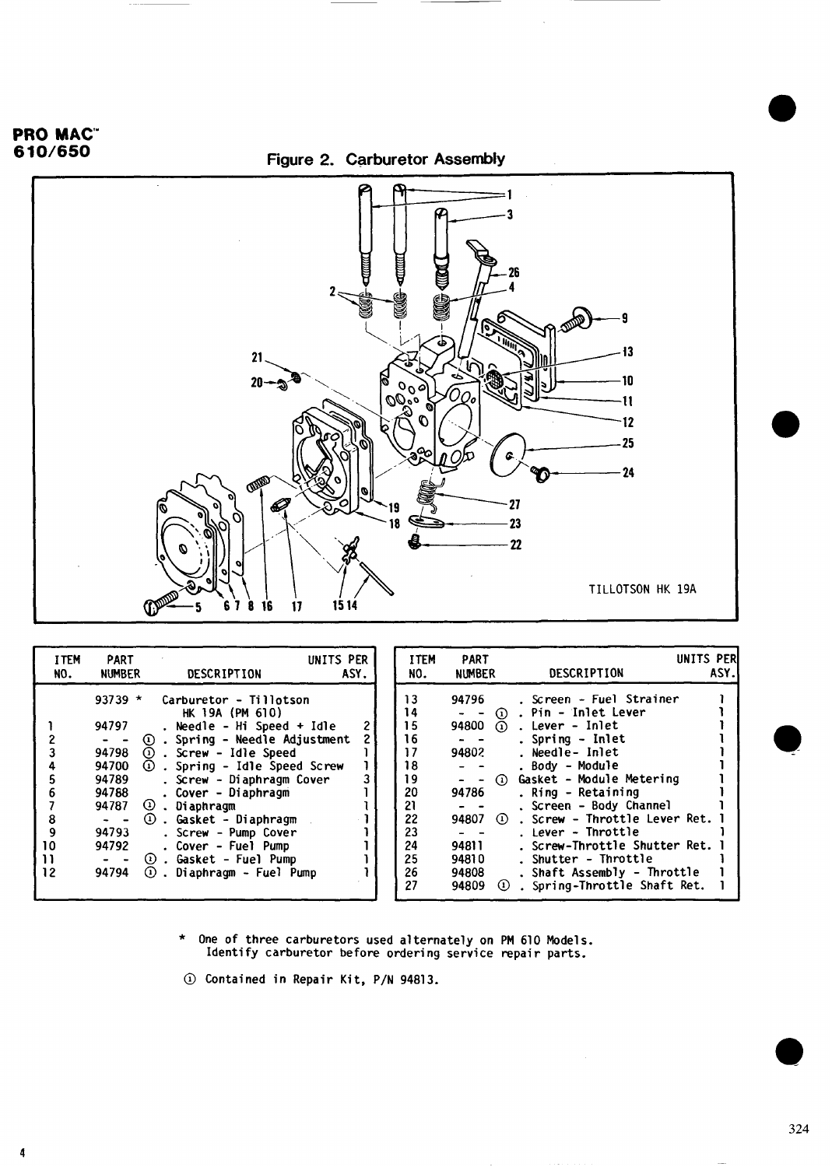### <span id="page-3-0"></span>PRO MAC"

**4**





| <b>I TEM</b><br>NO. | <b>PART</b><br><b>NUMBER</b>                                                                                          | DESCRIPTION                                                                                                                                                                                                                                                                                                                                                                                               | UNITS PER<br>ASY. | <b>ITEM</b><br>NO.                                                                     | <b>PART</b><br><b>NUMBER</b>                                                                                                      | DESCRIPTION                                                                                                                                                                                                                                                                                                                                                                                | UNITS PER<br>ASY. |
|---------------------|-----------------------------------------------------------------------------------------------------------------------|-----------------------------------------------------------------------------------------------------------------------------------------------------------------------------------------------------------------------------------------------------------------------------------------------------------------------------------------------------------------------------------------------------------|-------------------|----------------------------------------------------------------------------------------|-----------------------------------------------------------------------------------------------------------------------------------|--------------------------------------------------------------------------------------------------------------------------------------------------------------------------------------------------------------------------------------------------------------------------------------------------------------------------------------------------------------------------------------------|-------------------|
| 8<br>10<br>12       | $93739 *$<br>94797<br>$\Omega$<br>94798<br>94700<br>94789<br>94788<br>94787<br>$\sim$ $ -$<br>94793<br>94792<br>94794 | Carburetor - Tillotson<br>HK 19A (PM 610)<br>. Needle - Hi Speed + Idle<br>. Spring - Needle Adjustment<br>$\odot$ . Screw - Idle Speed<br>$\odot$ . Spring - Idle Speed Screw<br>. Screw - Diaphragm Cover<br>. Cover - Diaphragm<br>$\odot$ . Diaphragm<br>$\omega$ . Gasket - Diaphragm<br>. Screw - Pump Cover<br>. Cover - Fuel Pump<br>$\Omega$ . Gasket - Fuel Pump<br>$①$ . Diaphragm - Fuel Pump |                   | 13<br>14<br>15<br>16<br>17<br>18<br>19<br>20<br>21<br>22<br>23<br>24<br>25<br>26<br>27 | 94796<br>94800<br>$\Omega$<br>94802<br>$\Omega$<br>94786<br>94807<br>(1)<br>94811<br>94810<br>94808<br>94809<br>$\left( 1\right)$ | . Screen - Fuel Strainer<br>1 . Pin - Inlet Lever<br>. Lever - Inlet<br>. Spring - Inlet<br>. Needle- Inlet<br>. Body - Module<br>Gasket - Module Metering<br>. Ring - Retaining<br>. Screen - Body Channel<br>. Screw - Throttle Lever Ret.<br>. Lever - Throttle<br>. Screw-Throttle Shutter Ret.<br>. Shutter - Throttle<br>. Shaft Assembly - Throttle<br>. Spring-Throttle Shaft Ret. |                   |

**\* One of three carburetors used alternately on PM 610 Models. Identify carburetor before ordering service repair parts.**

**@ Contained in Repair Kit, P/N 94813.**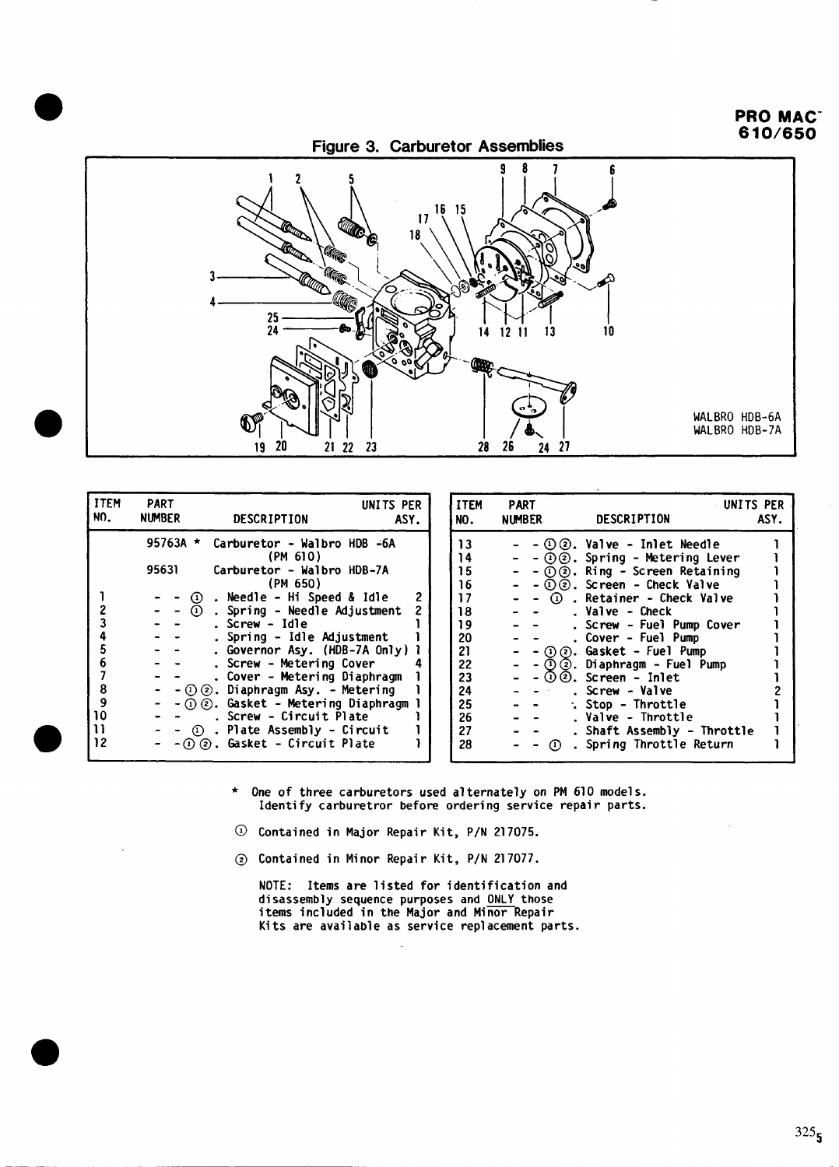### PRO MAC" 610/630

<span id="page-4-0"></span>

| <b>ITEM</b><br>NO.                    | <b>PART</b><br><b>NUMBER</b> | UNITS PER<br>DESCRIPTION                                                                                                                                                                                                                                                                                                                                                   | ASY.                | <b>ITEM</b><br>NO.                                                         |
|---------------------------------------|------------------------------|----------------------------------------------------------------------------------------------------------------------------------------------------------------------------------------------------------------------------------------------------------------------------------------------------------------------------------------------------------------------------|---------------------|----------------------------------------------------------------------------|
| 2<br>3<br>4<br>5<br>6<br>8<br>9<br>10 | 95763A $*$<br>95631<br>ന     | Carburetor - Walbro HDB -6A<br>(PM 610)<br>Carburetor - Walbro HDB-7A<br>(PM 650)<br>. Needle - Hi Speed & Idle<br>. Spring - Needle Adjustment<br>. Screw – Idle<br>. Spring - Idle Adjustment<br>. Governor Asy. (HDB-7A Only)<br>Screw - Metering Cover<br>Cover - Metering Diaphragm<br>$-$ ① ②. Diaphragm Asy. - Metering<br>$-$ (1) (2). Gasket – Metering Diaphragm | 2<br>$\overline{c}$ | 13<br>14<br>15<br>16<br>17<br>18<br>19<br>20<br>21<br>22<br>23<br>24<br>25 |
| 11<br>12                              | $\Omega$<br>$(1)$ (2)        | . Screw – Circuit Plate<br>Plate Assembly - Circuit<br>Gasket - Circuit Plate                                                                                                                                                                                                                                                                                              |                     | 26<br>27<br>28                                                             |

 $\bullet$ 

| <b>ITEM</b> | PART                        | UNITS PER                         |      |
|-------------|-----------------------------|-----------------------------------|------|
| NO.         | NUMBER                      | <b>DESCRIPTION</b>                | ASY. |
| 13          | $\left( 1\right)$<br>(2)    | Valve - Inlet Needle              |      |
| 14          | $\circled{2}$ .<br>$\Omega$ | Spring - Metering Lever           |      |
| 15          | のの.                         | Ring - Screen Retaining           |      |
| 16          |                             | $-$ (i) (2). Screen - Check Valve |      |
| 17          |                             | 1 . Retainer - Check Valve        |      |
| 18          |                             | . Valve - Check                   |      |
| 19          |                             | Screw - Fuel Pump Cover           |      |
| 20          |                             | Cover - Fuel Pump                 |      |
| 21          | $^{\circ}$                  | $(2)$ . Gasket - Fuel Pump        |      |
| 22          | - ග                         | 2. Diaphragm - Fuel Pump          |      |
| 23          |                             | $-(1)(2)$ . Screen - Inlet        |      |
| 24          |                             | . Screw - Valve                   |      |
| 25          |                             | . Stop - Throttle                 |      |
| 26          |                             | Valve - Throttle                  |      |
| 27          |                             | . Shaft Assembly - Throttle       |      |
| 28          | (1)                         | . Spring Throttle Return          |      |
|             |                             |                                   |      |

**\* One of three carburetors used alternately on PM 610 models. Identify carburetor before ordering se;vice repair parts.**

**Contained in Major Repair Kit, P/N 217075.**

**Contained in Minor Repair Kit, P/N 217077.**

**NOTE : Items are listed for identification and disassembly sequence purposes and ONLY those items included** in the Major and Minor Repair **Kits are available as service replacement parts.**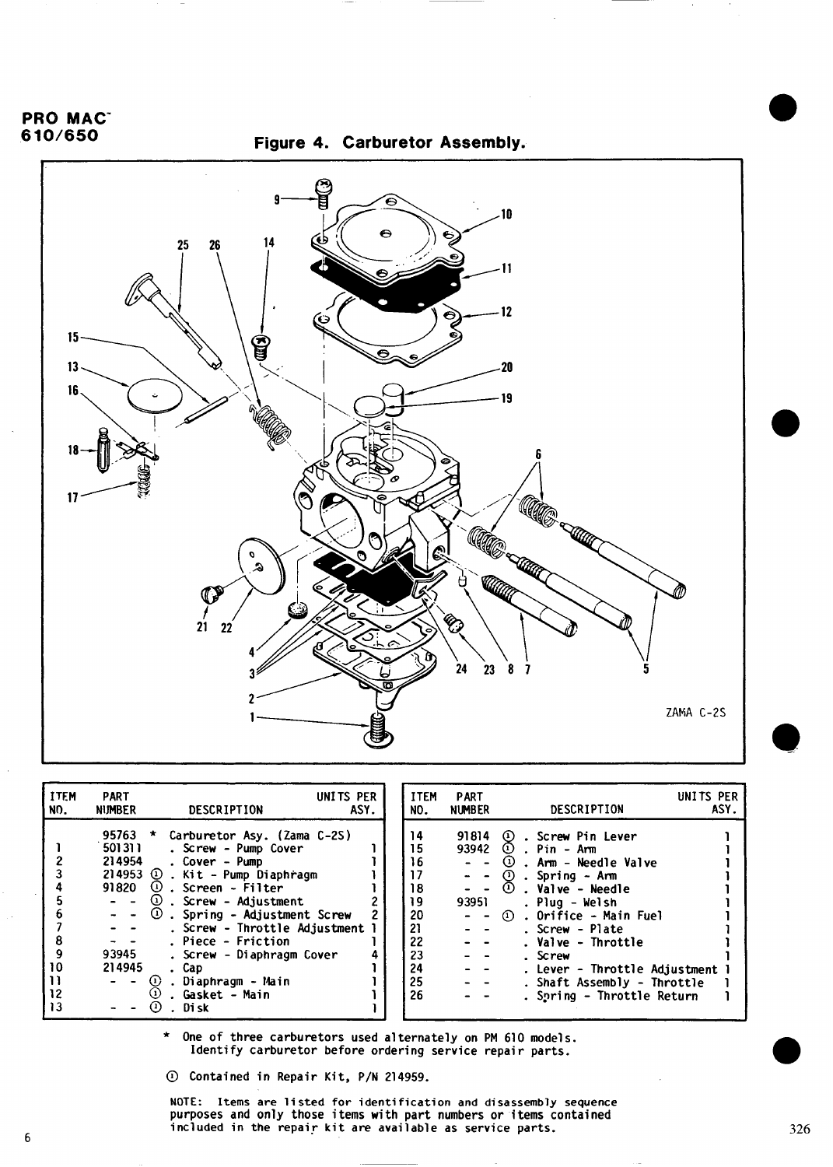#### <span id="page-5-0"></span>PRO MAC<sup>-</sup> 610/650





| <b>ITEM</b><br>NO.  | <b>PART</b><br><b>NUMBER</b>                 | DESCRIPTION                                                                                                                                                                                                                                                                                                                                                                                                             | UNITS PER<br>ASY. | <b>ITEM</b><br>NO.                                                         | PART<br><b>NUMBER</b>                                                                                                                                                    | UNITS PER<br>DESCRIPTION                                                                                                                                                                                                                                                                                | ASY. |
|---------------------|----------------------------------------------|-------------------------------------------------------------------------------------------------------------------------------------------------------------------------------------------------------------------------------------------------------------------------------------------------------------------------------------------------------------------------------------------------------------------------|-------------------|----------------------------------------------------------------------------|--------------------------------------------------------------------------------------------------------------------------------------------------------------------------|---------------------------------------------------------------------------------------------------------------------------------------------------------------------------------------------------------------------------------------------------------------------------------------------------------|------|
| 8<br>10<br>12<br>13 | 501311<br>214954<br>91820<br>93945<br>214945 | 95763 * Carburetor Asy. (Zama C-2S)<br>. Screw - Pump Cover<br>. Cover - Pump<br>$214953$ ①. Kit - Pump Diaphragm<br>$\omega$ . Screen - Filter<br>$  (1)$ . Screw - Adjustment<br>$-$ - $\circled{1}$ . Spring - Adjustment Screw<br>. Screw - Throttle Adjustment 1<br>. Piece - Friction<br>. Screw - Diaphragm Cover<br>. Cap<br>$\odot$<br>. Diaphragm - Main<br>$\Omega$<br>. Gasket - Main<br>. Disk<br>$^{(1)}$ |                   | 14<br>15<br>16<br>17<br>18<br>19<br>20<br>21<br>22<br>23<br>24<br>25<br>26 | 91814<br>93951<br>$\sim$ $\sim$<br>$\frac{1}{2} \left( \frac{1}{2} \right) = \frac{1}{2} \left( \frac{1}{2} \right)$<br>$\frac{1}{2} \left( \frac{1}{2} \right)$<br>$ -$ | 1). Screw Pin Lever<br>93942 $\circled{1}$ . Pin - Arm<br>$\cup$ . Arm - Needle Valve<br>① .Spring - Arm<br>. Plug – Welsh<br>① . Orifice - Main Fuel<br>Screw - Plate .<br>. Valve - Throttle<br>. Screw<br>. Lever - Throttle Adjustment<br>. Shaft Assembly - Throttle<br>. Spring - Throttle Return |      |

**\* One of three carburetors used alternately on PM 610 models. Identify carburetor before ordering service repair parts.**

**~ Contained in Repair Kit, P/N 214959.**

**NOTE: Items are listed for identification and disassembly sequer purposes and only those items with part numbers or items ~ontained included in the repair kit are available as service parts. 326**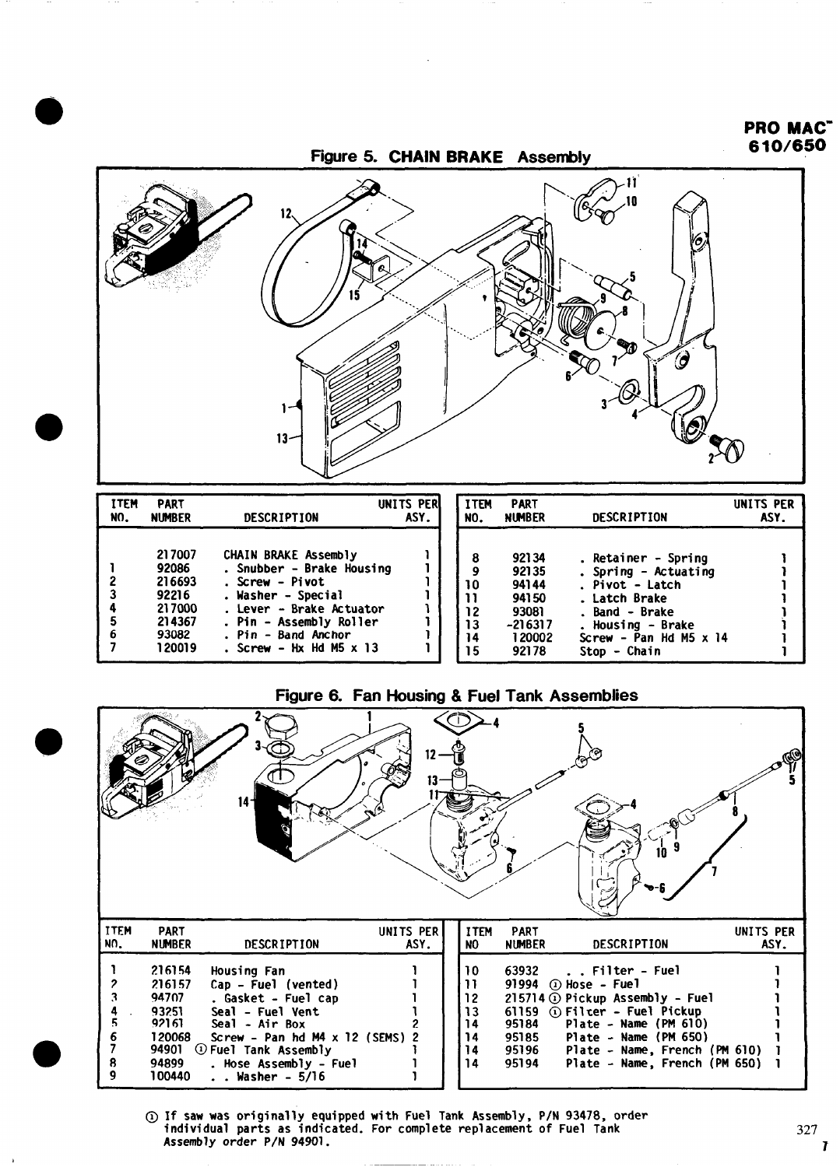

Figure 6. Fan Housing & Fuel Tank Assemblies

14

 $\overline{15}$ 

**120002 92178**

**Lrew - Pan Hd M5 x 14**

**stOD - Chain**

1 1

**7 120019**

**. screw - HxHdM5x13**



**@ If saw was originally equipped with Fuel Tank Assembly, P/N 93478, order individual parts as indicated. For complete replacement of Fuel Tank Assembly order P/N 94901.**

PRO MAC" 610/650

1

1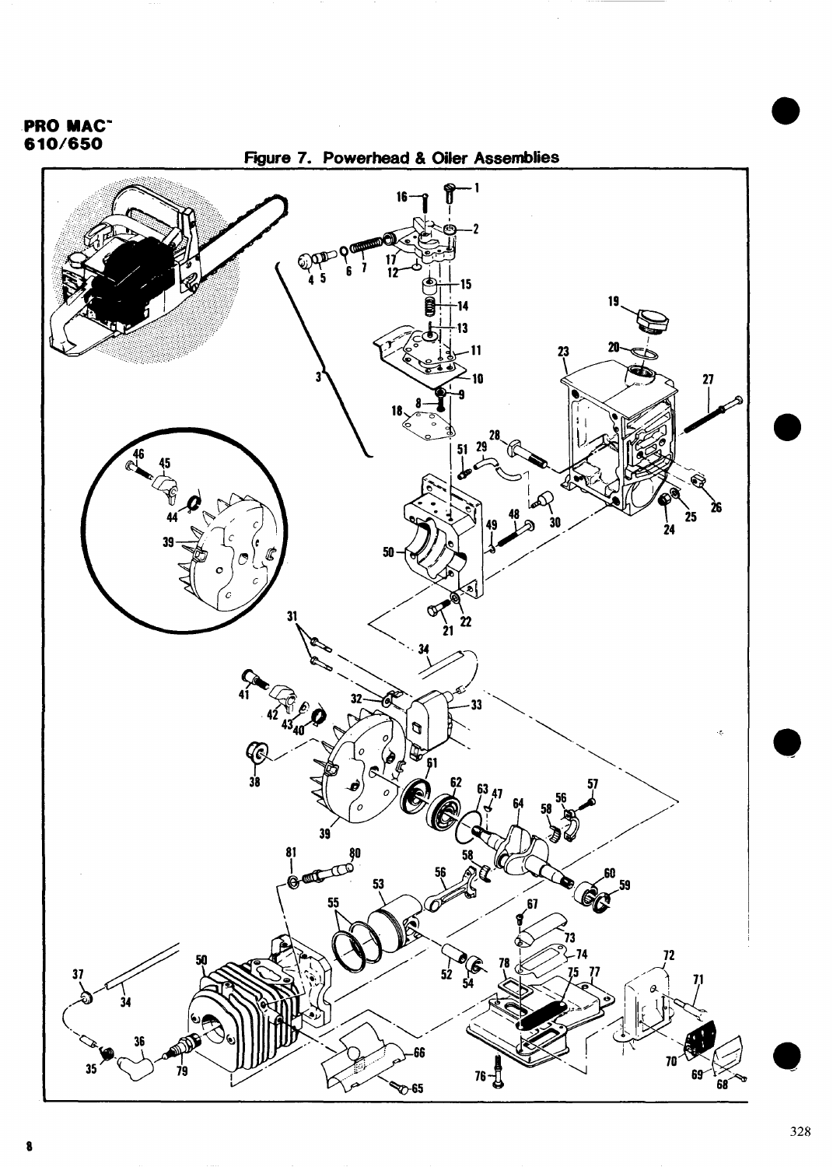## <span id="page-7-0"></span>**PRO MAC<sup>-</sup>610/650**



 $\triangledown$ -65

**68**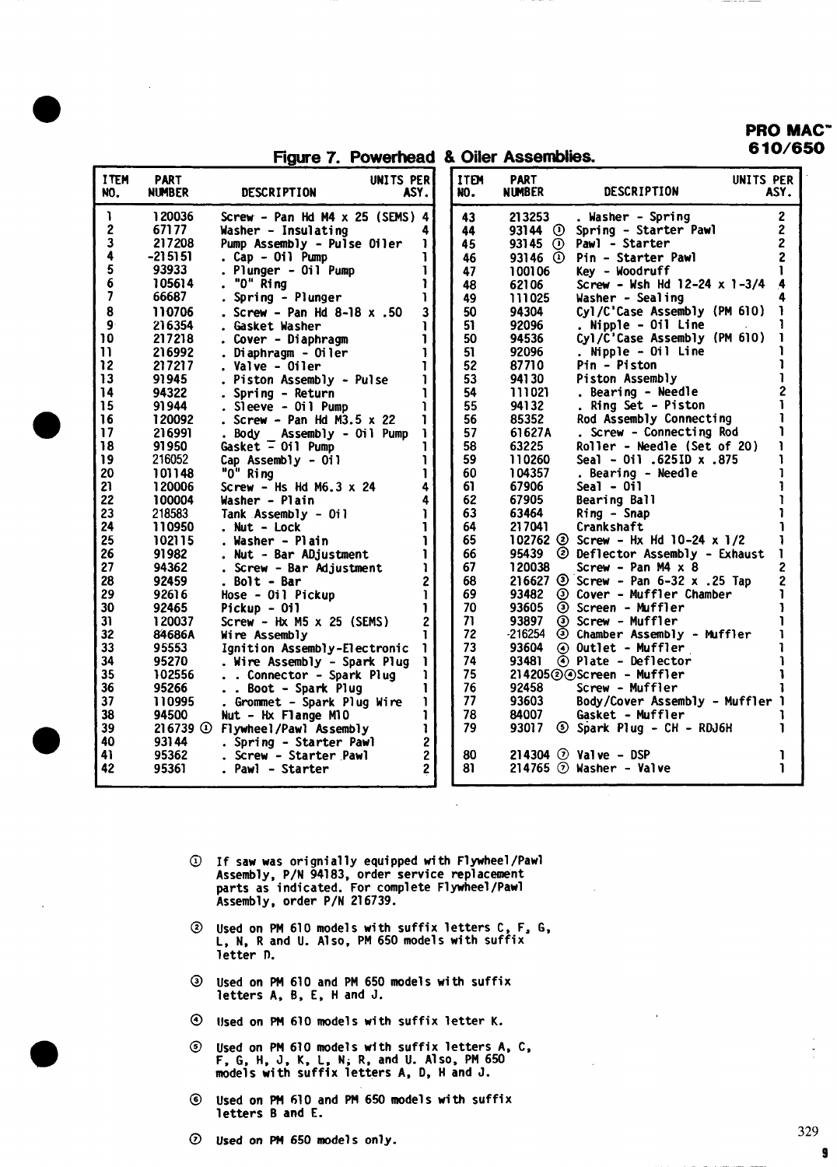PRO MAC" 10/650

|                         |                              | Figure 7. Powerhead & Oiler Assemblies. |                   |                    |                              |                                                       | 1V/ 4                            |
|-------------------------|------------------------------|-----------------------------------------|-------------------|--------------------|------------------------------|-------------------------------------------------------|----------------------------------|
| <b>ITEM</b><br>NO.      | <b>PART</b><br><b>NUMBER</b> | DESCRIPTION                             | UNITS PER<br>ASY. | <b>ITEN</b><br>NO. | <b>PART</b><br><b>NUMBER</b> | <b>DESCRIPTION</b>                                    | UNITS PER<br>ASY.                |
| 1                       | 120036                       | Screw - Pan Hd M4 x 25 (SEMS) 4         |                   | 43                 | 213253                       | . Washer - Spring                                     | $\overline{c}$                   |
| $\mathbf{2}$<br>3       | 67177<br>217208              | Washer - Insulating                     |                   | 44                 | $93144$ (i)                  | Spring - Starter Pawl                                 | $\overline{c}$<br>$\overline{2}$ |
| 4                       | $-215151$                    | Pump Assembly - Pulse Oiler             |                   | 45                 | $93145$ ①                    | Pawl - Starter                                        |                                  |
| 5                       | 93933                        | . Cap - Oil Pump                        |                   | 46                 |                              | $93146$ (1) Pin - Starter Pawl                        |                                  |
| 6                       | 105614                       | . Plunger - Oil Pump<br>. "O" Ring      |                   | 47                 | 100106                       | Key - Woodruff<br>Screw - Wsh Hd $12-24 \times 1-3/4$ | 4                                |
| $\overline{\mathbf{z}}$ | 66687                        |                                         |                   | 48                 | 62106                        |                                                       |                                  |
| 8                       |                              | . Spring - Plunger                      |                   | 49<br>50           | 111025<br>94304              | Washer - Sealing<br>Cyl/C'Case Assembly (PM 610)      | ı.                               |
|                         | 110706                       | . Screw - Pan Hd 8-18 $x$ .50           | 3                 |                    |                              |                                                       |                                  |
| 9                       | 216354                       | . Gasket Washer                         |                   | 51                 | 92096                        | . Nipple - Oil Line                                   |                                  |
| 10                      | 217218                       | . Cover - Diaphragm                     |                   | 50                 | 94536                        | Cyl/C'Case Assembly (PM 610)                          | ı                                |
| $\mathbf{1}$            | 216992                       | . Diaphragm - Oiler                     |                   | 51                 | 92096                        | Nipple - Oil Line                                     |                                  |
| 12                      | 217217                       | . Valve - Oiler                         |                   | 52                 | 87710                        | Pin - Piston                                          |                                  |
| 13                      | 91945                        | . Piston Assembly - Pulse               |                   | 53                 | 94130                        | Piston Assembly                                       | 1                                |
| 14                      | 94322                        | . Spring - Return                       |                   | 54                 | 111021                       | . Bearing - Needle                                    | $\overline{c}$                   |
| 15                      | 91944                        | . Sleeve - Oil Pump                     |                   | 55                 | 94132                        | . Ring Set - Piston                                   |                                  |
| 16                      | 120092                       | . Screw - Pan Hd M3.5 $\times$ 22       | ı.                | 56                 | 85352                        | Rod Assembly Connecting                               |                                  |
| 17                      | 216991                       | . Body Assembly - Oil Pump              |                   | 57                 | 61627A                       | . Screw - Connecting Rod                              |                                  |
| 18                      | 91950                        | Gasket $=$ 0il Pump                     |                   | 58                 | 63225                        | Roller - Needle (Set of 20)                           | ı                                |
| 19                      | 216052                       | Cap Assembly - Oil                      | 1                 | 59                 | 110260                       | 875. x 011 .6251D x .875                              | ı                                |
| 20                      | 101148                       | "O" Ring                                |                   | 60                 | 104357                       | . Bearing - Needle                                    |                                  |
| 21                      | 120006                       | Screw - Hs Hd M6.3 $\times$ 24          | 4                 | 61                 | 67906                        | $Seal - Oil$                                          | 1                                |
| 22                      | 100004                       | Washer - Plain                          |                   | 62                 | 67905                        | Bearing Ball                                          |                                  |
| 23                      | 218583                       | Tank Assembly - Oil                     |                   | 63                 | 63464                        | Ring - Snap                                           |                                  |
| 24                      | 110950                       | . Nut - Lock                            | ı                 | 64                 | 217041                       | Crankshaft                                            |                                  |
| 25                      | 102115                       | . Washer - Plain                        |                   | 65                 |                              | 102762 $\circled{2}$ Screw - Hx Hd 10-24 x 1/2        |                                  |
| 26                      | 91982                        | . Nut - Bar ADjustment                  | ı                 | 66                 |                              | 95439 @ Deflector Assembly - Exhaust                  | 1                                |
| 27                      | 94362                        | . Screw - Bar Adjustment                | ı                 | 67                 | 120038                       | Screw - Pan $M4 \times 8$                             | 2                                |
| 28                      | 92459                        | . Bolt - Bar                            | 2                 | 68                 |                              | 216627 $\circled{3}$ Screw - Pan 6-32 x .25 Tap       | $\overline{c}$                   |
| 29                      | 92616                        | Hose - Oil Pickup                       | 1                 | 69                 | 93482                        | <b>3 Cover - Muffler Chamber</b>                      |                                  |
| 30                      | 92465                        | Pickup - Oil                            |                   | 70                 | 93605                        | 3 Screen - Muffler                                    |                                  |
| 31                      | 120037                       | Screw - Hx $M5 \times 25$ (SEMS)        | $\overline{c}$    | 71                 | 93897                        | 3 Screw - Muffler                                     |                                  |
| 32                      | 84686A                       | Wire Assembly                           |                   | 72                 | $-216254$                    | 3 Chamber Assembly - Muffler                          |                                  |
| 33                      | 95553                        | Ignition Assembly-Electronic            |                   | 73                 | 93604                        | ⊙ Outlet - Muffler                                    |                                  |
| 34                      | 95270                        | . Wire Assembly - Spark Plug            | ı.                | 74                 | 93481                        | 4 Plate - Deflector                                   |                                  |
| 35                      | 102556                       | . . Connector - Spark Plug              | ı                 | 75                 |                              | $214205@$ Screen - Muffler                            |                                  |
| 36                      | 95266                        | . . Boot - Spark Plug                   | 1                 | 76                 | 92458                        | Screw - Muffler                                       |                                  |
| 37                      | 110995                       | . Grommet - Spark Plug Wire             | ı.                | 77                 | 93603                        | Body/Cover Assembly - Muffler 1                       |                                  |
| 38                      | 94500                        |                                         |                   | 78                 | 84007                        | Gasket - Muffler                                      |                                  |
| 39                      | $216739$ ①                   | Nut - Hx Flange M10                     |                   | 79                 | 93017                        | S Spark Plug - CH - RDJ6H                             |                                  |
|                         |                              | Flywheel/Pawl Assembly                  | ı                 |                    |                              |                                                       |                                  |
| 40                      | 93144                        | . Spring - Starter Pawl                 | 2                 | 80                 |                              | 214304 $\odot$ Valve - DSP                            |                                  |
| 41                      | 95362                        | . Screw - Starter Pawl                  | $\overline{2}$    |                    |                              |                                                       |                                  |
| 42                      | 95361                        | . Pawl - Starter                        | $\overline{2}$    | 81                 |                              | 214765 $\odot$ Washer - Valve                         |                                  |

 $\overline{a}$ 

- @ If **saw was orignially equipped with Flywheel/Pawl Assembly, P/N 94183, order service replacement parts as indicated. For complete Flywheel/Pawl Assembly, order P/N 216739.**
- **@ Used on PM 610 models with suffix letters C, F, G, L, N, R and U. Also, PM 650 models with suffix letter f).**
- **@ Used on PM 610 and PM 650 models with suffix letters A, B, E, H and J.**
- **@ Ilsedon PM 610 models with suffix letter K.**
- **@ Used on PM 610 models with suffix letters A, F, G, H, J, K, L, N; R, and U. Also, PM650 models with suffix letters A, D, H and J. c,**
- **@ Used on PM 610 and PM 650 models with suffix letters B and E.**
- **@ Used on PM 650 models only.**